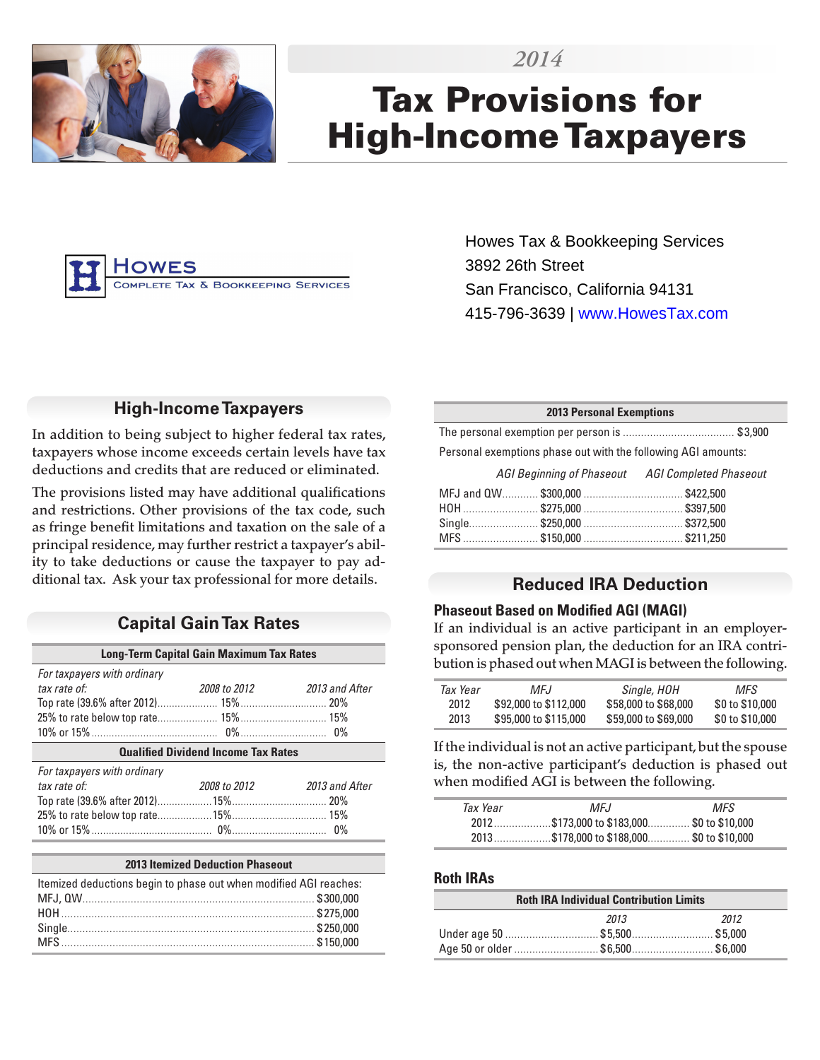



# Tax Provisions for High-Income Taxpayers



Howes Tax & Bookkeeping Services 3892 26th Street San Francisco, California 94131 415-796-3639 | www.HowesTax.com

## **High-Income Taxpayers**

In addition to being subject to higher federal tax rates, taxpayers whose income exceeds certain levels have tax deductions and credits that are reduced or eliminated.

The provisions listed may have additional qualifications and restrictions. Other provisions of the tax code, such as fringe benefit limitations and taxation on the sale of a principal residence, may further restrict a taxpayer's ability to take deductions or cause the taxpayer to pay additional tax. Ask your tax professional for more details.

## **Capital Gain Tax Rates**

| <b>Long-Term Capital Gain Maximum Tax Rates</b> |              |                |  |
|-------------------------------------------------|--------------|----------------|--|
| For taxpayers with ordinary                     |              |                |  |
| tax rate of:                                    | 2008 to 2012 | 2013 and After |  |
|                                                 |              |                |  |
|                                                 |              |                |  |
|                                                 |              |                |  |
| <b>Qualified Dividend Income Tax Rates</b>      |              |                |  |
| For taxpayers with ordinary                     |              |                |  |
| tax rate of:                                    | 2008 to 2012 | 2013 and After |  |
|                                                 |              |                |  |
|                                                 |              |                |  |
|                                                 |              |                |  |
|                                                 |              |                |  |

#### **2013 Itemized Deduction Phaseout**

| Itemized deductions begin to phase out when modified AGI reaches: |  |  |
|-------------------------------------------------------------------|--|--|
|                                                                   |  |  |
|                                                                   |  |  |
|                                                                   |  |  |
|                                                                   |  |  |

#### **2013 Personal Exemptions**

The personal exemption per person is ..................................... \$ 3,900

Personal exemptions phase out with the following AGI amounts:

| AGI Beginning of Phaseout AGI Completed Phaseout |  |
|--------------------------------------------------|--|
|                                                  |  |
|                                                  |  |
|                                                  |  |
|                                                  |  |

## **Reduced IRA Deduction**

#### **Phaseout Based on Modified AGI (MAGI)**

If an individual is an active participant in an employersponsored pension plan, the deduction for an IRA contribution is phased out when MAGI is between the following.

| Tax Year | MFJ.                  | Single, HOH          | MFS.            |
|----------|-----------------------|----------------------|-----------------|
| 2012     | \$92,000 to \$112,000 | \$58,000 to \$68,000 | \$0 to \$10,000 |
| 2013     | \$95,000 to \$115,000 | \$59,000 to \$69,000 | \$0 to \$10,000 |

If the individual is not an active participant, but the spouse is, the non-active participant's deduction is phased out when modified AGI is between the following.

| Tax Year | MFJ.                                       | MFS. |  |
|----------|--------------------------------------------|------|--|
|          | 2012\$173.000 to \$183.000 \$0 to \$10.000 |      |  |
|          | 2013\$178,000 to \$188,000\$0 to \$10,000  |      |  |

#### **Roth IRAs**

| <b>Roth IRA Individual Contribution Limits</b> |      |      |  |
|------------------------------------------------|------|------|--|
|                                                | 2013 | 2012 |  |
|                                                |      |      |  |
| Age 50 or older \$6,500\$6,000                 |      |      |  |